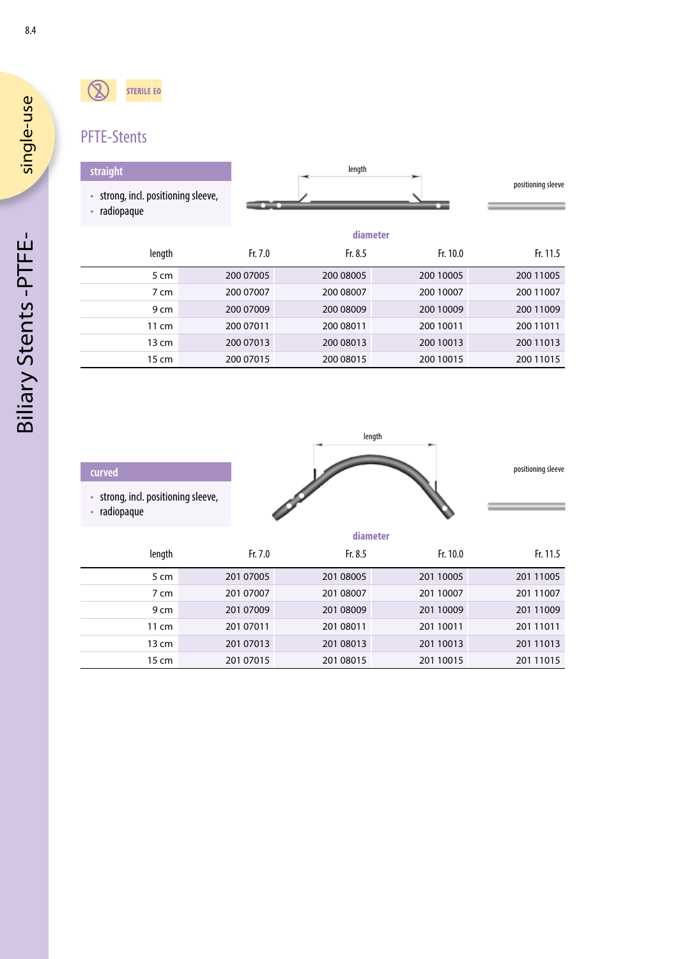Biliary Stents -PTFE-

**Biliary Stents-PTFE-**

8.4

#### $\mathbb{Q}$ **STERILE EO**

# PFTE-Stents

### **straight**

- strong, incl. positioning sleeve,
- radiopaque

| length |                    |
|--------|--------------------|
|        | positioning sleeve |
|        |                    |

|                 | diameter  |           |           |           |
|-----------------|-----------|-----------|-----------|-----------|
| length          | Fr. 7.0   | Fr. $8.5$ | Fr. 10.0  | Fr. 11.5  |
| 5 cm            | 200 07005 | 200 08005 | 200 10005 | 200 11005 |
| 7 cm            | 200 07007 | 200 08007 | 200 10007 | 200 11007 |
| 9 cm            | 200 07009 | 200 08009 | 200 10009 | 200 11009 |
| $11 \text{ cm}$ | 200 07011 | 200 08011 | 200 10011 | 200 11011 |
| 13 cm           | 200 07013 | 200 08013 | 200 10013 | 200 11013 |
| 15 cm           | 200 07015 | 200 08015 | 200 10015 | 200 11015 |

| curved                                          |           |           |           | positioning sleeve |  |
|-------------------------------------------------|-----------|-----------|-----------|--------------------|--|
| strong, incl. positioning sleeve,<br>radiopaque |           |           |           |                    |  |
|                                                 |           | diameter  |           |                    |  |
| length                                          | Fr. 7.0   | Fr. 8.5   | Fr. 10.0  | Fr. 11.5           |  |
| 5 cm                                            | 201 07005 | 201 08005 | 201 10005 | 201 11005          |  |
| $7 \, \mathrm{cm}$                              | 201 07007 | 201 08007 | 201 10007 | 201 11007          |  |
| 9 cm                                            | 201 07009 | 201 08009 | 201 10009 | 201 11009          |  |
| 11 cm                                           | 201 07011 | 201 08011 | 201 10011 | 201 11011          |  |

13 cm 201 07013 201 08013 201 10013 201 11013 15 cm 201 07015 201 08015 201 10015 201 11015

length